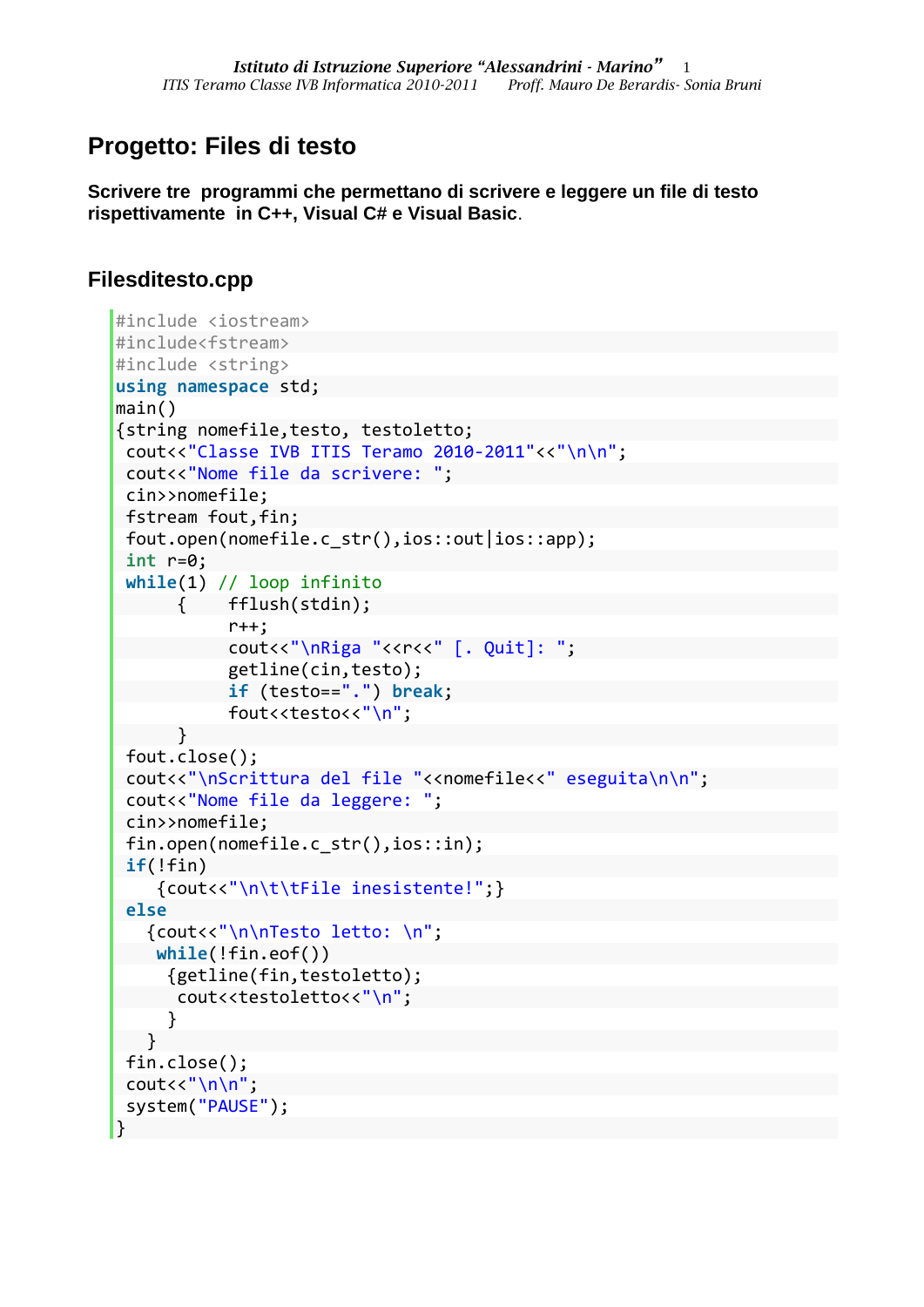## **Progetto: Files di testo**

**Scrivere tre programmi che permettano di scrivere e leggere un file di testo rispettivamente in C++, Visual C# e Visual Basic**.

## **Filesditesto.cpp**

```
#include <iostream>
#include<fstream>
#include <string>
using namespace std;
main()
{string nomefile,testo, testoletto;
 cout<<"Classe IVB ITIS Teramo 2010-2011"<<"\n\n";
 cout<<"Nome file da scrivere: ";
 cin>>nomefile;
fstream fout, fin;
 fout.open(nomefile.c_str(),ios::out|ios::app);
 int r=0;
 while(1) // loop infinito
         { fflush(stdin);
            r++;
           cout<<"\nRiga "<<r<<" [. Quit]: ";
            getline(cin,testo);
            if (testo==".") break; 
           fout<<testo<<"\n";
       }
 fout.close();
 cout<<"\nScrittura del file "<<nomefile<<" eseguita\n\n";
 cout<<"Nome file da leggere: ";
 cin>>nomefile;
 fin.open(nomefile.c str(),ios::in);
 if(!fin) {cout<<"\n\t\tFile inesistente!";}
 else
    {cout<<"\n\nTesto letto: \n";
     while(!fin.eof()) 
      {getline(fin,testoletto);
      cout<<testoletto<<"\n";
      } 
    }
 fin.close();
 cout<<"\n\n";
 system("PAUSE");
}
```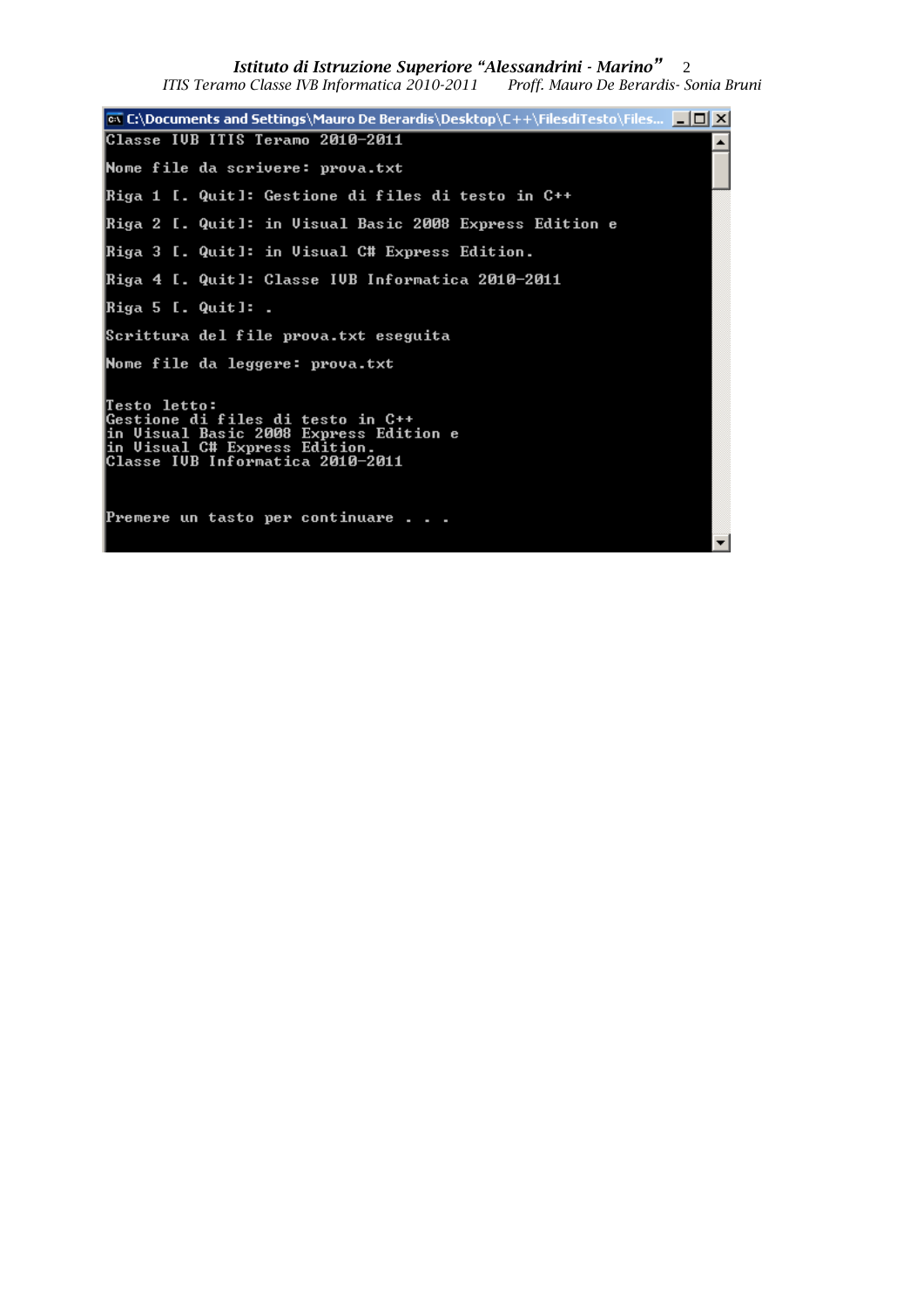*Istituto di Istruzione Superiore "Alessandrini - Marino"* 2

*ITIS Teramo Classe IVB Informatica 2010-2011 Proff. Mauro De Berardis- Sonia Bruni*

**on** C:\Documents and Settings\Mauro De Berardis\Desktop\C++\FilesdiTesto\Files... **A** D X Classe IUB ITIS Teramo 2010-2011  $\blacktriangle$ Nome file da scrivere: prova.txt Riga 1 [. Quit]: Gestione di files di testo in C++ Riga 2 [. Quit]: in Uisual Basic 2008 Express Edition e Riga 3 [. Quit]: in Uisual C# Express Edition. Riga 4 [. Quit]: Classe IVB Informatica 2010–2011 Riga 5 [. Quit]: . Scrittura del file prova.txt eseguita Nome file da leggere: prova.txt Testo letto:<br>Gestione di files di testo in C++<br>in Uisual Basic 2008 Express Edition e<br>in Uisual C# Express Edition.<br>Classe IUB Informatica 2010-2011 Premere un tasto per continuare . . .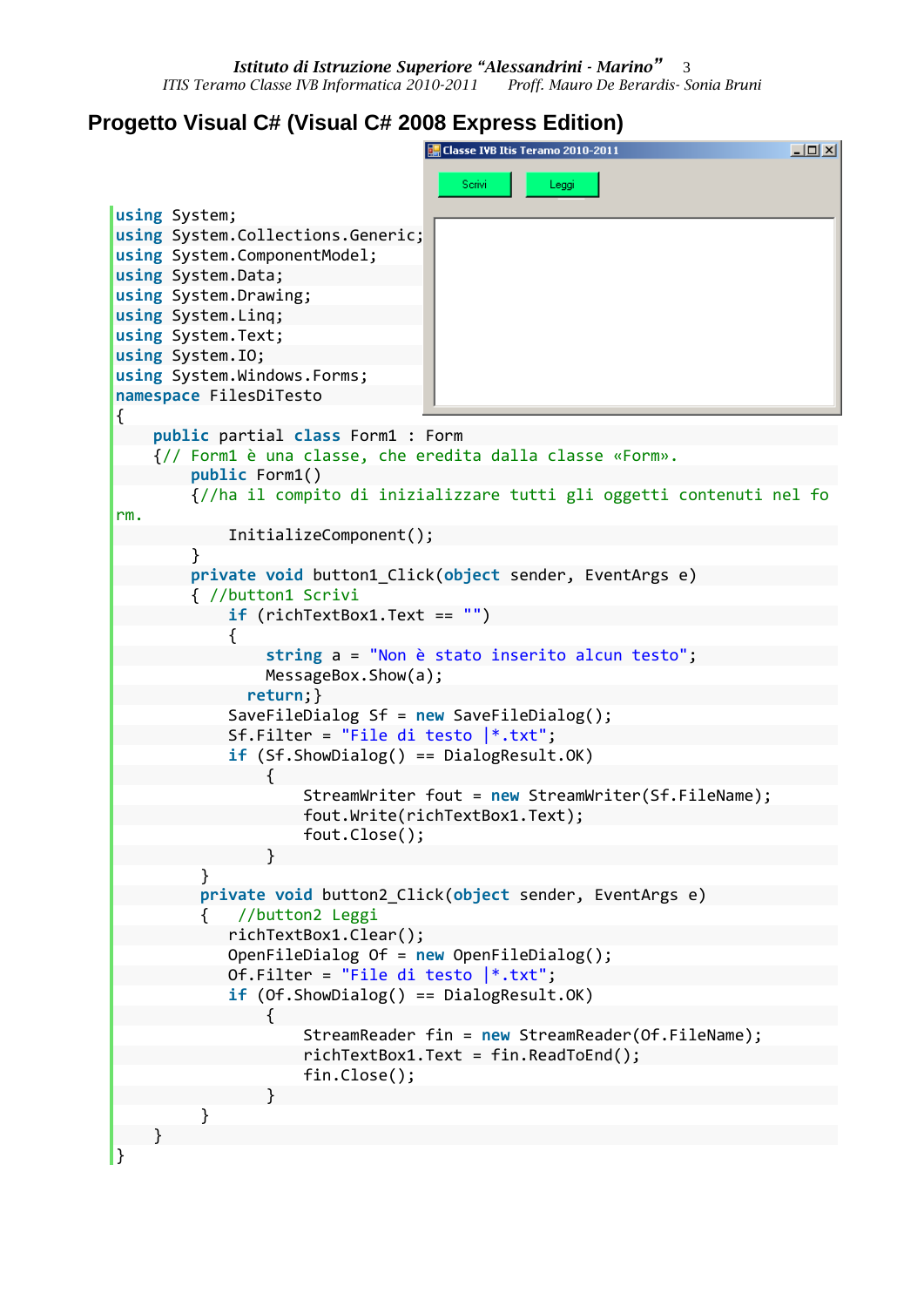## **Progetto Visual C# (Visual C# 2008 Express Edition)**

```
E. Classe IVB Itis Teramo 2010-2011
                                                                      니미지
                                    Scrivi
                                             Leggi
using System;
using System.Collections.Generic;
using System.ComponentModel;
using System.Data;
using System.Drawing;
using System.Linq;
using System.Text;
using System.IO; 
using System.Windows.Forms;
namespace FilesDiTesto
{
    public partial class Form1 : Form
     {// Form1 è una classe, che eredita dalla classe «Form».
        public Form1()
         {//ha il compito di inizializzare tutti gli oggetti contenuti nel fo
rm. 
            InitializeComponent();
 }
        private void button1_Click(object sender, EventArgs e)
         { //button1 Scrivi
            if (richTextBox1.Text == "")
\{ string a = "Non è stato inserito alcun testo";
                MessageBox.Show(a);
              return;}
            SaveFileDialog Sf = new SaveFileDialog();
            Sf.Filter = "File di testo |*.txt";
            if (Sf.ShowDialog() == DialogResult.OK)
\{ StreamWriter fout = new StreamWriter(Sf.FileName);
                    fout.Write(richTextBox1.Text);
                   fout.Close();
 }
 }
         private void button2_Click(object sender, EventArgs e)
          { //button2 Leggi
            richTextBox1.Clear();
            OpenFileDialog Of = new OpenFileDialog();
           Of.Filter = "File di testo |*.txt"; if (Of.ShowDialog() == DialogResult.OK)
\{ StreamReader fin = new StreamReader(Of.FileName);
                   richTextBox1.Text = fin.ReadToEnd();
                    fin.Close();
 }
          }
 }
}
```